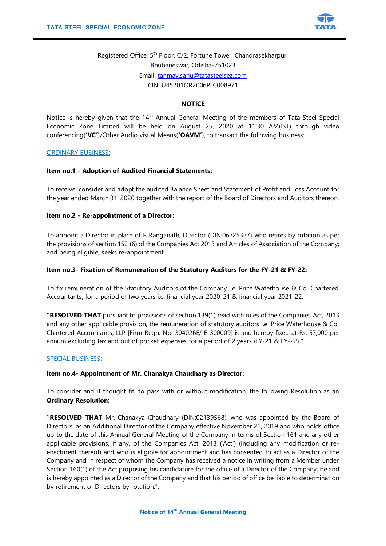

Registered Office: 5<sup>th</sup> Floor, C/2, Fortune Tower, Chandrasekharpur, Bhubaneswar, Odisha-751023 Email: [tanmay.sahu@tatasteelsez.com](mailto:tanmay.sahu@tatasteelsez.com) CIN: U45201OR2006PLC008971

## **NOTICE**

Notice is hereby given that the 14<sup>th</sup> Annual General Meeting of the members of Tata Steel Special Economic Zone Limited will be held on August 25, 2020 at 11:30 AM(IST) through video conferencing(**'VC'**)/Other Audio visual Means(**'OAVM'**), to transact the following business:

### ORDINARY BUSINESS:

### **Item no.1 - Adoption of Audited Financial Statements:**

To receive, consider and adopt the audited Balance Sheet and Statement of Profit and Loss Account for the year ended March 31, 2020 together with the report of the Board of Directors and Auditors thereon.

### **Item no.2 - Re-appointment of a Director:**

To appoint a Director in place of R Ranganath, Director (DIN:06725337) who retires by rotation as per the provisions of section 152 (6) of the Companies Act 2013 and Articles of Association of the Company; and being eligible, seeks re-appointment..

### **Item no.3- Fixation of Remuneration of the Statutory Auditors for the FY-21 & FY-22:**

To fix remuneration of the Statutory Auditors of the Company i.e. Price Waterhouse & Co. Chartered Accountants, for a period of two years i.e. financial year 2020-21 & financial year 2021-22.

**"RESOLVED THAT** pursuant to provisions of section 139(1) read with rules of the Companies Act, 2013 and any other applicable provision, the remuneration of statutory auditors i.e. Price Waterhouse & Co. Chartered Accountants, LLP [Firm Regn. No. 304026E/ E-300009] is and hereby fixed at Rs. 57,000 per annum excluding tax and out of pocket expenses for a period of 2 years (FY-21 & FY-22).**"**

#### SPECIAL BUSINESS:

## **Item no.4- Appointment of Mr. Chanakya Chaudhary as Director:**

To consider and if thought fit, to pass with or without modification, the following Resolution as an **Ordinary Resolution**:

**"RESOLVED THAT** Mr. Chanakya Chaudhary (DIN:02139568), who was appointed by the Board of Directors, as an Additional Director of the Company effective November 20, 2019 and who holds office up to the date of this Annual General Meeting of the Company in terms of Section 161 and any other applicable provisions, if any, of the Companies Act, 2013 ('Act') (including any modification or reenactment thereof) and who is eligible for appointment and has consented to act as a Director of the Company and in respect of whom the Company has received a notice in writing from a Member under Section 160(1) of the Act proposing his candidature for the office of a Director of the Company, be and is hereby appointed as a Director of the Company and that his period of office be liable to determination by retirement of Directors by rotation.".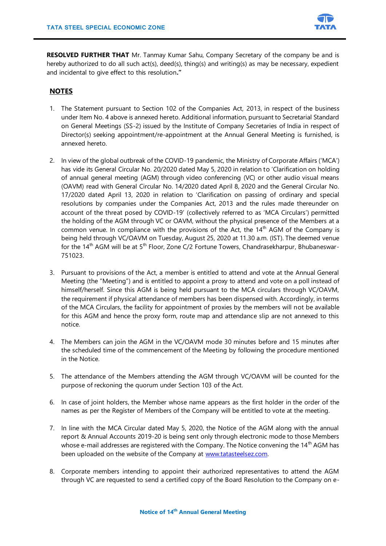

**RESOLVED FURTHER THAT** Mr. Tanmay Kumar Sahu, Company Secretary of the company be and is hereby authorized to do all such act(s), deed(s), thing(s) and writing(s) as may be necessary, expedient and incidental to give effect to this resolution**."** 

# **NOTES**

- 1. The Statement pursuant to Section 102 of the Companies Act, 2013, in respect of the business under Item No. 4 above is annexed hereto. Additional information, pursuant to Secretarial Standard on General Meetings (SS-2) issued by the Institute of Company Secretaries of India in respect of Director(s) seeking appointment/re-appointment at the Annual General Meeting is furnished, is annexed hereto.
- 2. In view of the global outbreak of the COVID-19 pandemic, the Ministry of Corporate Affairs ('MCA') has vide its General Circular No. 20/2020 dated May 5, 2020 in relation to 'Clarification on holding of annual general meeting (AGM) through video conferencing (VC) or other audio visual means (OAVM) read with General Circular No. 14/2020 dated April 8, 2020 and the General Circular No. 17/2020 dated April 13, 2020 in relation to 'Clarification on passing of ordinary and special resolutions by companies under the Companies Act, 2013 and the rules made thereunder on account of the threat posed by COVID-19' (collectively referred to as 'MCA Circulars') permitted the holding of the AGM through VC or OAVM, without the physical presence of the Members at a common venue. In compliance with the provisions of the Act, the  $14<sup>th</sup>$  AGM of the Company is being held through VC/OAVM on Tuesday, August 25, 2020 at 11.30 a.m. (IST). The deemed venue for the 14<sup>th</sup> AGM will be at 5<sup>th</sup> Floor, Zone C/2 Fortune Towers, Chandrasekharpur, Bhubaneswar-751023.
- 3. Pursuant to provisions of the Act, a member is entitled to attend and vote at the Annual General Meeting (the "Meeting") and is entitled to appoint a proxy to attend and vote on a poll instead of himself/herself. Since this AGM is being held pursuant to the MCA circulars through VC/OAVM, the requirement if physical attendance of members has been dispensed with. Accordingly, in terms of the MCA Circulars, the facility for appointment of proxies by the members will not be available for this AGM and hence the proxy form, route map and attendance slip are not annexed to this notice.
- 4. The Members can join the AGM in the VC/OAVM mode 30 minutes before and 15 minutes after the scheduled time of the commencement of the Meeting by following the procedure mentioned in the Notice.
- 5. The attendance of the Members attending the AGM through VC/OAVM will be counted for the purpose of reckoning the quorum under Section 103 of the Act.
- 6. In case of joint holders, the Member whose name appears as the first holder in the order of the names as per the Register of Members of the Company will be entitled to vote at the meeting.
- 7. In line with the MCA Circular dated May 5, 2020, the Notice of the AGM along with the annual report & Annual Accounts 2019-20 is being sent only through electronic mode to those Members whose e-mail addresses are registered with the Company. The Notice convening the 14<sup>th</sup> AGM has been uploaded on the website of the Company at [www.tatasteelsez.com.](http://www.tatasteelsez.com/)
- 8. Corporate members intending to appoint their authorized representatives to attend the AGM through VC are requested to send a certified copy of the Board Resolution to the Company on e-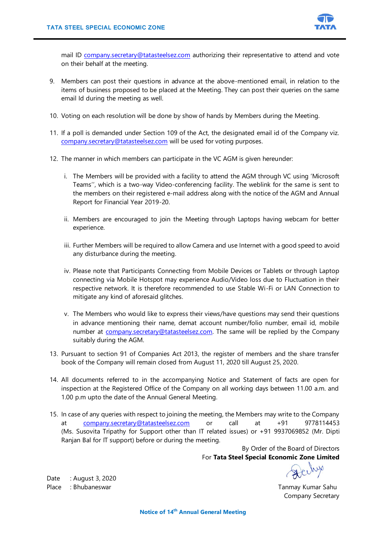

mail ID [company.secretary@tatasteelsez.com](mailto:company.secretary@tatasteelsez.com) authorizing their representative to attend and vote on their behalf at the meeting.

- 9. Members can post their questions in advance at the above-mentioned email, in relation to the items of business proposed to be placed at the Meeting. They can post their queries on the same email Id during the meeting as well.
- 10. Voting on each resolution will be done by show of hands by Members during the Meeting.
- 11. If a poll is demanded under Section 109 of the Act, the designated email id of the Company viz. [company.secretary@tatasteelsez.com](mailto:company.secretary@tatasteelsez.com) will be used for voting purposes.
- 12. The manner in which members can participate in the VC AGM is given hereunder:
	- i. The Members will be provided with a facility to attend the AGM through VC using 'Microsoft Teams'', which is a two-way Video-conferencing facility. The weblink for the same is sent to the members on their registered e-mail address along with the notice of the AGM and Annual Report for Financial Year 2019-20.
	- ii. Members are encouraged to join the Meeting through Laptops having webcam for better experience.
	- iii. Further Members will be required to allow Camera and use Internet with a good speed to avoid any disturbance during the meeting.
	- iv. Please note that Participants Connecting from Mobile Devices or Tablets or through Laptop connecting via Mobile Hotspot may experience Audio/Video loss due to Fluctuation in their respective network. It is therefore recommended to use Stable Wi-Fi or LAN Connection to mitigate any kind of aforesaid glitches.
	- v. The Members who would like to express their views/have questions may send their questions in advance mentioning their name, demat account number/folio number, email id, mobile number at [company.secretary@tatasteelsez.com.](mailto:company.secretary@tatasteelsez.com) The same will be replied by the Company suitably during the AGM.
- 13. Pursuant to section 91 of Companies Act 2013, the register of members and the share transfer book of the Company will remain closed from August 11, 2020 till August 25, 2020.
- 14. All documents referred to in the accompanying Notice and Statement of facts are open for inspection at the Registered Office of the Company on all working days between 11.00 a.m. and 1.00 p.m upto the date of the Annual General Meeting.
- 15. In case of any queries with respect to joining the meeting, the Members may write to the Company at [company.secretary@tatasteelsez.com](mailto:company.secretary@tatasteelsez.com) or call at +91 9778114453 (Ms. Susovita Tripathy for Support other than IT related issues) or +91 9937069852 (Mr. Dipti Ranjan Bal for IT support) before or during the meeting.

By Order of the Board of Directors For **Tata Steel Special Economic Zone Limited**

Date : August 3, 2020 Place : Bhubaneswar Tanmay Kumar Sahu

Company Secretary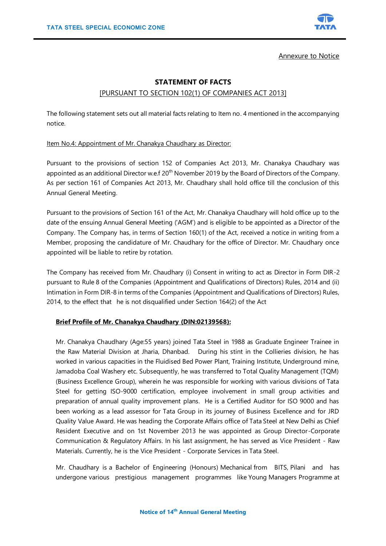

Annexure to Notice

# **STATEMENT OF FACTS**

## [PURSUANT TO SECTION 102(1) OF COMPANIES ACT 2013]

The following statement sets out all material facts relating to Item no. 4 mentioned in the accompanying notice.

## Item No.4: Appointment of Mr. Chanakya Chaudhary as Director:

Pursuant to the provisions of section 152 of Companies Act 2013, Mr. Chanakya Chaudhary was appointed as an additional Director w.e.f  $20<sup>th</sup>$  November 2019 by the Board of Directors of the Company. As per section 161 of Companies Act 2013, Mr. Chaudhary shall hold office till the conclusion of this Annual General Meeting.

Pursuant to the provisions of Section 161 of the Act, Mr. Chanakya Chaudhary will hold office up to the date of the ensuing Annual General Meeting ('AGM') and is eligible to be appointed as a Director of the Company. The Company has, in terms of Section 160(1) of the Act, received a notice in writing from a Member, proposing the candidature of Mr. Chaudhary for the office of Director. Mr. Chaudhary once appointed will be liable to retire by rotation.

The Company has received from Mr. Chaudhary (i) Consent in writing to act as Director in Form DIR-2 pursuant to Rule 8 of the Companies (Appointment and Qualifications of Directors) Rules, 2014 and (ii) Intimation in Form DIR-8 in terms of the Companies (Appointment and Qualifications of Directors) Rules, 2014, to the effect that he is not disqualified under Section 164(2) of the Act

## **Brief Profile of Mr. Chanakya Chaudhary (DIN:02139568):**

Mr. Chanakya Chaudhary (Age:55 years) joined Tata Steel in 1988 as Graduate Engineer Trainee in the Raw Material Division at Jharia, Dhanbad. During his stint in the Collieries division, he has worked in various capacities in the Fluidised Bed Power Plant, Training Institute, Underground mine, Jamadoba Coal Washery etc. Subsequently, he was transferred to Total Quality Management (TQM) (Business Excellence Group), wherein he was responsible for working with various divisions of Tata Steel for getting ISO-9000 certification, employee involvement in small group activities and preparation of annual quality improvement plans. He is a Certified Auditor for ISO 9000 and has been working as a lead assessor for Tata Group in its journey of Business Excellence and for JRD Quality Value Award. He was heading the Corporate Affairs office of Tata Steel at New Delhi as Chief Resident Executive and on 1st November 2013 he was appointed as Group Director-Corporate Communication & Regulatory Affairs. In his last assignment, he has served as Vice President - Raw Materials. Currently, he is the Vice President - Corporate Services in Tata Steel.

Mr. Chaudhary is a Bachelor of Engineering (Honours) Mechanical from BITS, Pilani and has undergone various prestigious management programmes like Young Managers Programme at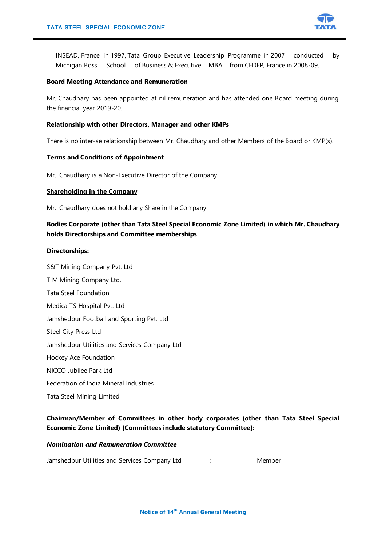

INSEAD, France in 1997, Tata Group Executive Leadership Programme in 2007 conducted by Michigan Ross School of Business & Executive MBA from CEDEP, France in 2008-09.

#### **Board Meeting Attendance and Remuneration**

Mr. Chaudhary has been appointed at nil remuneration and has attended one Board meeting during the financial year 2019-20.

#### **Relationship with other Directors, Manager and other KMPs**

There is no inter-se relationship between Mr. Chaudhary and other Members of the Board or KMP(s).

#### **Terms and Conditions of Appointment**

Mr. Chaudhary is a Non-Executive Director of the Company.

#### **Shareholding in the Company**

Mr. Chaudhary does not hold any Share in the Company.

# **Bodies Corporate (other than Tata Steel Special Economic Zone Limited) in which Mr. Chaudhary holds Directorships and Committee memberships**

#### **Directorships:**

S&T Mining Company Pvt. Ltd T M Mining Company Ltd.

- Tata Steel Foundation
- Medica TS Hospital Pvt. Ltd

Jamshedpur Football and Sporting Pvt. Ltd

Steel City Press Ltd

Jamshedpur Utilities and Services Company Ltd

- Hockey Ace Foundation
- NICCO Jubilee Park Ltd
- Federation of India Mineral Industries
- Tata Steel Mining Limited

# **Chairman/Member of Committees in other body corporates (other than Tata Steel Special Economic Zone Limited) [Committees include statutory Committee]:**

## *Nomination and Remuneration Committee*

Jamshedpur Utilities and Services Company Ltd : Member